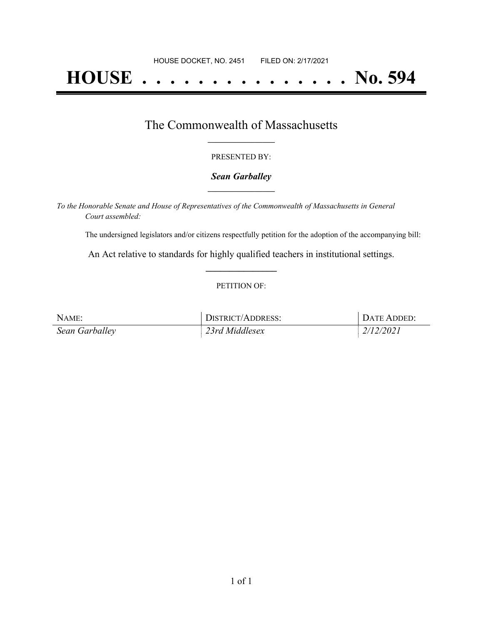# **HOUSE . . . . . . . . . . . . . . . No. 594**

## The Commonwealth of Massachusetts **\_\_\_\_\_\_\_\_\_\_\_\_\_\_\_\_\_**

#### PRESENTED BY:

#### *Sean Garballey* **\_\_\_\_\_\_\_\_\_\_\_\_\_\_\_\_\_**

*To the Honorable Senate and House of Representatives of the Commonwealth of Massachusetts in General Court assembled:*

The undersigned legislators and/or citizens respectfully petition for the adoption of the accompanying bill:

An Act relative to standards for highly qualified teachers in institutional settings. **\_\_\_\_\_\_\_\_\_\_\_\_\_\_\_**

#### PETITION OF:

| NAME:          | DISTRICT/ADDRESS: | DATE ADDED: |
|----------------|-------------------|-------------|
| Sean Garballey | 23rd Middlesex    | 2/12/2021   |